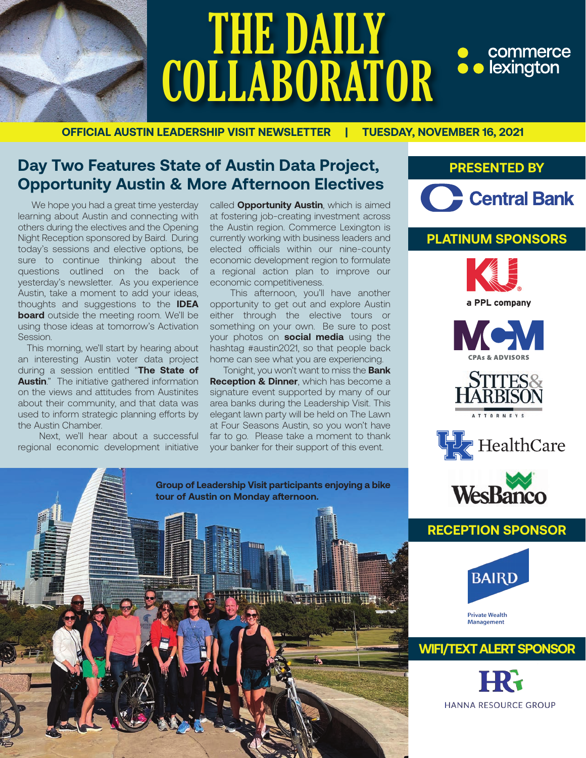

## THE DAILY • commerce<br>• lexington **COLLABORATOR**

**OFFICIAL AUSTIN LEADERSHIP VISIT NEWSLETTER | TUESDAY, NOVEMBER 16, 2021**

#### **Day Two Features State of Austin Data Project, Opportunity Austin & More Afternoon Electives**

 We hope you had a great time yesterday learning about Austin and connecting with others during the electives and the Opening Night Reception sponsored by Baird. During today's sessions and elective options, be sure to continue thinking about the questions outlined on the back of yesterday's newsletter. As you experience Austin, take a moment to add your ideas, thoughts and suggestions to the **IDEA board** outside the meeting room. We'll be using those ideas at tomorrow's Activation Session.

 This morning, we'll start by hearing about an interesting Austin voter data project during a session entitled "**The State of Austin**." The initiative gathered information on the views and attitudes from Austinites about their community, and that data was used to inform strategic planning efforts by the Austin Chamber.

 Next, we'll hear about a successful regional economic development initiative

called **Opportunity Austin**, which is aimed at fostering job-creating investment across the Austin region. Commerce Lexington is currently working with business leaders and elected officials within our nine-county economic development region to formulate a regional action plan to improve our economic competitiveness.

 This afternoon, you'll have another opportunity to get out and explore Austin either through the elective tours or something on your own. Be sure to post your photos on **social media** using the hashtag #austin2021, so that people back home can see what you are experiencing.

 Tonight, you won't want to miss the **Bank Reception & Dinner**, which has become a signature event supported by many of our area banks during the Leadership Visit. This elegant lawn party will be held on The Lawn at Four Seasons Austin, so you won't have far to go. Please take a moment to thank your banker for their support of this event.

**Group of Leadership Visit participants enjoying a bike**

**tour of Austin on Monday afternoon.** 

#### **PRESENTED BY**



#### **PLATINUM SPONSORS**











#### **RECEPTION SPONSOR**



#### **WIFI/TEXT ALERT SPONSOR**

**HANNA RESOURCE GROUP**